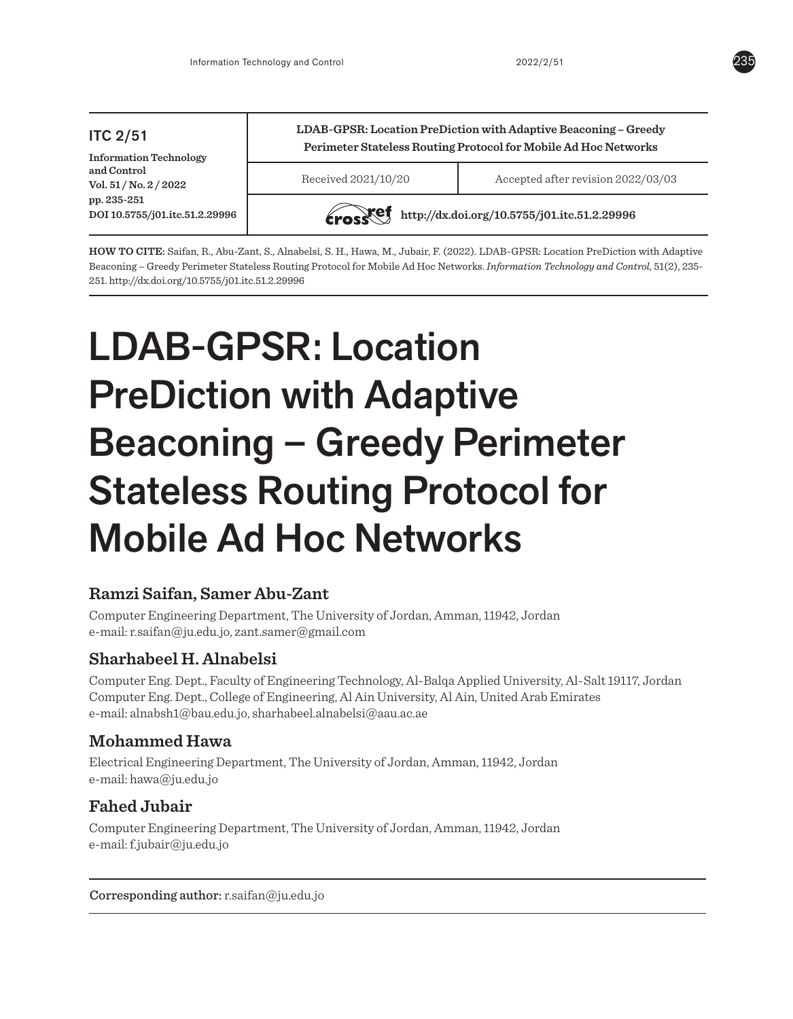#### ITC 2/51 **Information Technology and Control Vol. 51 / No. 2 / 2022 pp. 235-251 DOI 10.5755/j01.itc.51.2.29996 LDAB-GPSR: Location PreDiction with Adaptive Beaconing – Greedy Perimeter Stateless Routing Protocol for Mobile Ad Hoc Networks** Received 2021/10/20 Accepted after revision 2022/03/03 **http://dx.doi.org/10.5755/j01.itc.51.2.29996**

**HOW TO CITE:** Saifan, R., Abu-Zant, S., Alnabelsi, S. H., Hawa, M., Jubair, F. (2022). LDAB-GPSR: Location PreDiction with Adaptive Beaconing – Greedy Perimeter Stateless Routing Protocol for Mobile Ad Hoc Networks. *Information Technology and Control*, 51(2), 235- 251. http://dx.doi.org/10.5755/j01.itc.51.2.29996

# LDAB-GPSR: Location PreDiction with Adaptive Beaconing – Greedy Perimeter Stateless Routing Protocol for Mobile Ad Hoc Networks

# **Ramzi Saifan, Samer Abu-Zant**

Computer Engineering Department, The University of Jordan, Amman, 11942, Jordan e-mail: r.saifan@ju.edu.jo, zant.samer@gmail.com

# **Sharhabeel H. Alnabelsi**

Computer Eng. Dept., Faculty of Engineering Technology, Al-Balqa Applied University, Al-Salt 19117, Jordan Computer Eng. Dept., College of Engineering, Al Ain University, Al Ain, United Arab Emirates e-mail: alnabsh1@bau.edu.jo, sharhabeel.alnabelsi@aau.ac.ae

# **Mohammed Hawa**

Electrical Engineering Department, The University of Jordan, Amman, 11942, Jordan e-mail: hawa@ju.edu.jo

# **Fahed Jubair**

Computer Engineering Department, The University of Jordan, Amman, 11942, Jordan e-mail: f.jubair@ju.edu.jo

Corresponding author: r.saifan@ju.edu.jo

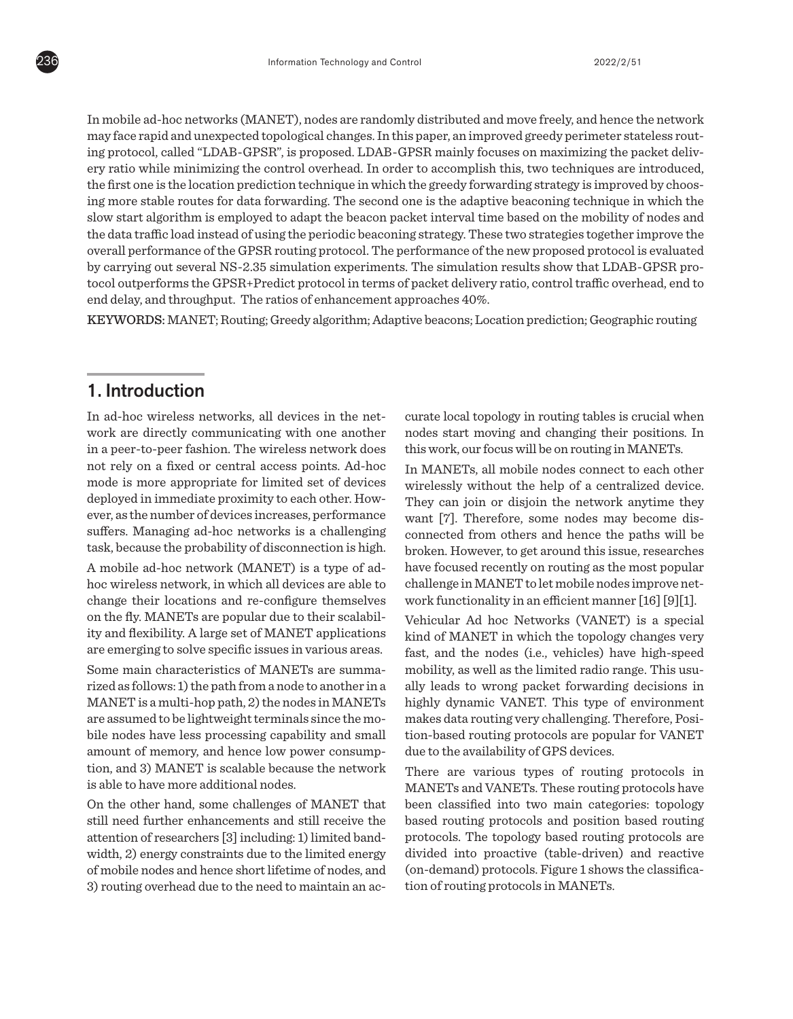In mobile ad-hoc networks (MANET), nodes are randomly distributed and move freely, and hence the network may face rapid and unexpected topological changes. In this paper, an improved greedy perimeter stateless routing protocol, called "LDAB-GPSR", is proposed. LDAB-GPSR mainly focuses on maximizing the packet delivery ratio while minimizing the control overhead. In order to accomplish this, two techniques are introduced, the first one is the location prediction technique in which the greedy forwarding strategy is improved by choosing more stable routes for data forwarding. The second one is the adaptive beaconing technique in which the slow start algorithm is employed to adapt the beacon packet interval time based on the mobility of nodes and the data traffic load instead of using the periodic beaconing strategy. These two strategies together improve the overall performance of the GPSR routing protocol. The performance of the new proposed protocol is evaluated by carrying out several NS-2.35 simulation experiments. The simulation results show that LDAB-GPSR protocol outperforms the GPSR+Predict protocol in terms of packet delivery ratio, control traffic overhead, end to end delay, and throughput. The ratios of enhancement approaches 40%.

KEYWORDS: MANET; Routing; Greedy algorithm; Adaptive beacons; Location prediction; Geographic routing

# 1. Introduction

In ad-hoc wireless networks, all devices in the network are directly communicating with one another in a peer-to-peer fashion. The wireless network does not rely on a fixed or central access points. Ad-hoc mode is more appropriate for limited set of devices deployed in immediate proximity to each other. However, as the number of devices increases, performance suffers. Managing ad-hoc networks is a challenging task, because the probability of disconnection is high. A mobile ad-hoc network (MANET) is a type of adhoc wireless network, in which all devices are able to change their locations and re-configure themselves on the fly. MANETs are popular due to their scalability and flexibility. A large set of MANET applications are emerging to solve specific issues in various areas. Some main characteristics of MANETs are summarized as follows: 1) the path from a node to another in a MANET is a multi-hop path, 2) the nodes in MANETs are assumed to be lightweight terminals since the mobile nodes have less processing capability and small amount of memory, and hence low power consumption, and 3) MANET is scalable because the network is able to have more additional nodes.

On the other hand, some challenges of MANET that still need further enhancements and still receive the attention of researchers [3] including: 1) limited bandwidth, 2) energy constraints due to the limited energy of mobile nodes and hence short lifetime of nodes, and 3) routing overhead due to the need to maintain an accurate local topology in routing tables is crucial when nodes start moving and changing their positions. In this work, our focus will be on routing in MANETs.

In MANETs, all mobile nodes connect to each other wirelessly without the help of a centralized device. They can join or disjoin the network anytime they want [7]. Therefore, some nodes may become disconnected from others and hence the paths will be broken. However, to get around this issue, researches have focused recently on routing as the most popular challenge in MANET to let mobile nodes improve network functionality in an efficient manner [16] [9][1].

Vehicular Ad hoc Networks (VANET) is a special kind of MANET in which the topology changes very fast, and the nodes (i.e., vehicles) have high-speed mobility, as well as the limited radio range. This usually leads to wrong packet forwarding decisions in highly dynamic VANET. This type of environment makes data routing very challenging. Therefore, Position-based routing protocols are popular for VANET due to the availability of GPS devices.

There are various types of routing protocols in MANETs and VANETs. These routing protocols have been classified into two main categories: topology based routing protocols and position based routing protocols. The topology based routing protocols are divided into proactive (table-driven) and reactive (on-demand) protocols. Figure 1 shows the classification of routing protocols in MANETs.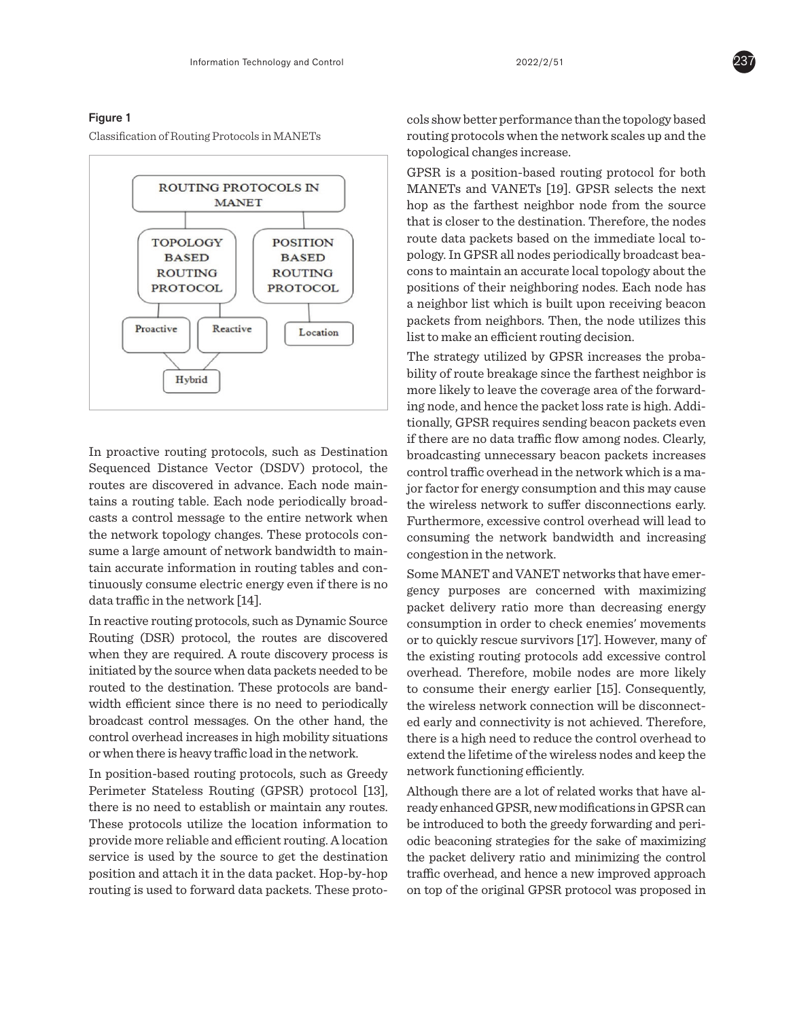### Figure 1

Classification of Routing Protocols in MANETs



In proactive routing protocols, such as Destination Sequenced Distance Vector (DSDV) protocol, the routes are discovered in advance. Each node maintains a routing table. Each node periodically broadcasts a control message to the entire network when the network topology changes. These protocols consume a large amount of network bandwidth to maintain accurate information in routing tables and continuously consume electric energy even if there is no data traffic in the network [14].

In reactive routing protocols, such as Dynamic Source Routing (DSR) protocol, the routes are discovered when they are required. A route discovery process is initiated by the source when data packets needed to be routed to the destination. These protocols are bandwidth efficient since there is no need to periodically broadcast control messages. On the other hand, the control overhead increases in high mobility situations or when there is heavy traffic load in the network.

In position-based routing protocols, such as Greedy Perimeter Stateless Routing (GPSR) protocol [13], there is no need to establish or maintain any routes. These protocols utilize the location information to provide more reliable and efficient routing. A location service is used by the source to get the destination position and attach it in the data packet. Hop-by-hop routing is used to forward data packets. These protocols show better performance than the topology based routing protocols when the network scales up and the topological changes increase.

GPSR is a position-based routing protocol for both MANETs and VANETs [19]. GPSR selects the next hop as the farthest neighbor node from the source that is closer to the destination. Therefore, the nodes route data packets based on the immediate local topology. In GPSR all nodes periodically broadcast beacons to maintain an accurate local topology about the positions of their neighboring nodes. Each node has a neighbor list which is built upon receiving beacon packets from neighbors. Then, the node utilizes this list to make an efficient routing decision.

The strategy utilized by GPSR increases the probability of route breakage since the farthest neighbor is more likely to leave the coverage area of the forwarding node, and hence the packet loss rate is high. Additionally, GPSR requires sending beacon packets even if there are no data traffic flow among nodes. Clearly, broadcasting unnecessary beacon packets increases control traffic overhead in the network which is a major factor for energy consumption and this may cause the wireless network to suffer disconnections early. Furthermore, excessive control overhead will lead to consuming the network bandwidth and increasing congestion in the network.

Some MANET and VANET networks that have emergency purposes are concerned with maximizing packet delivery ratio more than decreasing energy consumption in order to check enemies' movements or to quickly rescue survivors [17]. However, many of the existing routing protocols add excessive control overhead. Therefore, mobile nodes are more likely to consume their energy earlier [15]. Consequently, the wireless network connection will be disconnected early and connectivity is not achieved. Therefore, there is a high need to reduce the control overhead to extend the lifetime of the wireless nodes and keep the network functioning efficiently.

Although there are a lot of related works that have already enhanced GPSR, new modifications in GPSR can be introduced to both the greedy forwarding and periodic beaconing strategies for the sake of maximizing the packet delivery ratio and minimizing the control traffic overhead, and hence a new improved approach on top of the original GPSR protocol was proposed in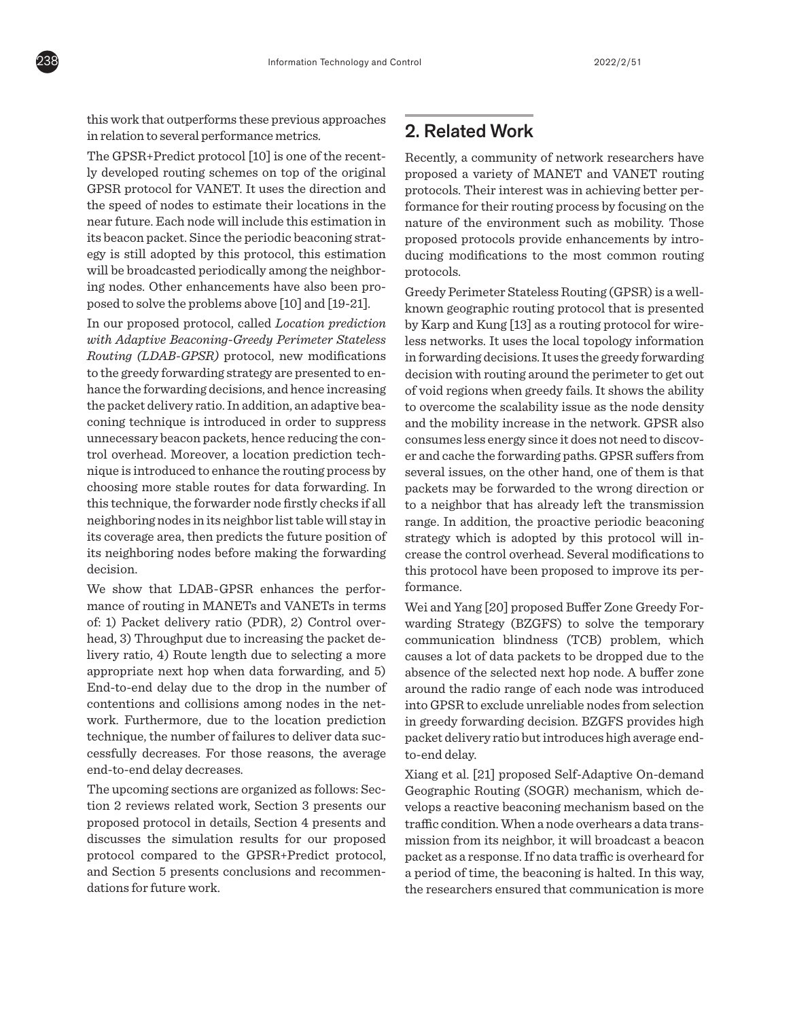

this work that outperforms these previous approaches in relation to several performance metrics.

The GPSR+Predict protocol [10] is one of the recently developed routing schemes on top of the original GPSR protocol for VANET. It uses the direction and the speed of nodes to estimate their locations in the near future. Each node will include this estimation in its beacon packet. Since the periodic beaconing strategy is still adopted by this protocol, this estimation will be broadcasted periodically among the neighboring nodes. Other enhancements have also been proposed to solve the problems above [10] and [19-21].

In our proposed protocol, called *Location prediction with Adaptive Beaconing-Greedy Perimeter Stateless Routing (LDAB-GPSR)* protocol, new modifications to the greedy forwarding strategy are presented to enhance the forwarding decisions, and hence increasing the packet delivery ratio. In addition, an adaptive beaconing technique is introduced in order to suppress unnecessary beacon packets, hence reducing the control overhead. Moreover, a location prediction technique is introduced to enhance the routing process by choosing more stable routes for data forwarding. In this technique, the forwarder node firstly checks if all neighboring nodes in its neighbor list table will stay in its coverage area, then predicts the future position of its neighboring nodes before making the forwarding decision.

We show that LDAB-GPSR enhances the performance of routing in MANETs and VANETs in terms of: 1) Packet delivery ratio (PDR), 2) Control overhead, 3) Throughput due to increasing the packet delivery ratio, 4) Route length due to selecting a more appropriate next hop when data forwarding, and 5) End-to-end delay due to the drop in the number of contentions and collisions among nodes in the network. Furthermore, due to the location prediction technique, the number of failures to deliver data successfully decreases. For those reasons, the average end-to-end delay decreases.

The upcoming sections are organized as follows: Section 2 reviews related work, Section 3 presents our proposed protocol in details, Section 4 presents and discusses the simulation results for our proposed protocol compared to the GPSR+Predict protocol, and Section 5 presents conclusions and recommendations for future work.

# 2. Related Work

Recently, a community of network researchers have proposed a variety of MANET and VANET routing protocols. Their interest was in achieving better performance for their routing process by focusing on the nature of the environment such as mobility. Those proposed protocols provide enhancements by introducing modifications to the most common routing protocols.

Greedy Perimeter Stateless Routing (GPSR) is a wellknown geographic routing protocol that is presented by Karp and Kung [13] as a routing protocol for wireless networks. It uses the local topology information in forwarding decisions. It uses the greedy forwarding decision with routing around the perimeter to get out of void regions when greedy fails. It shows the ability to overcome the scalability issue as the node density and the mobility increase in the network. GPSR also consumes less energy since it does not need to discover and cache the forwarding paths. GPSR suffers from several issues, on the other hand, one of them is that packets may be forwarded to the wrong direction or to a neighbor that has already left the transmission range. In addition, the proactive periodic beaconing strategy which is adopted by this protocol will increase the control overhead. Several modifications to this protocol have been proposed to improve its performance.

Wei and Yang [20] proposed Buffer Zone Greedy Forwarding Strategy (BZGFS) to solve the temporary communication blindness (TCB) problem, which causes a lot of data packets to be dropped due to the absence of the selected next hop node. A buffer zone around the radio range of each node was introduced into GPSR to exclude unreliable nodes from selection in greedy forwarding decision. BZGFS provides high packet delivery ratio but introduces high average endto-end delay.

Xiang et al. [21] proposed Self-Adaptive On-demand Geographic Routing (SOGR) mechanism, which develops a reactive beaconing mechanism based on the traffic condition. When a node overhears a data transmission from its neighbor, it will broadcast a beacon packet as a response. If no data traffic is overheard for a period of time, the beaconing is halted. In this way, the researchers ensured that communication is more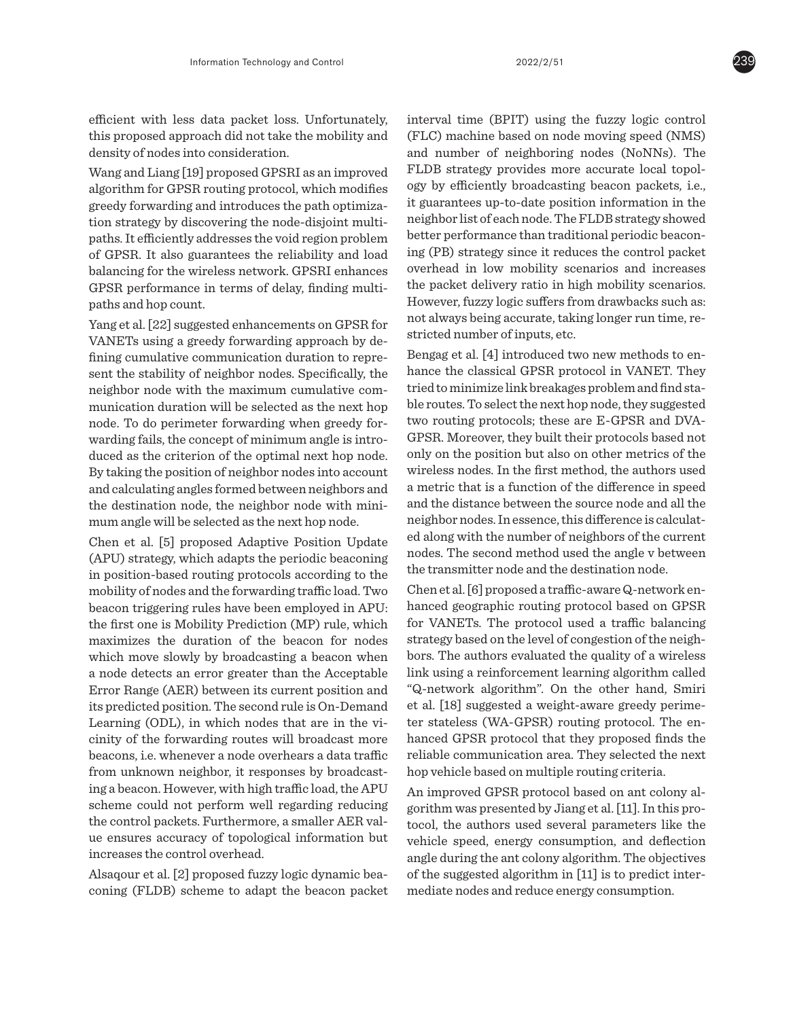efficient with less data packet loss. Unfortunately, this proposed approach did not take the mobility and density of nodes into consideration.

Wang and Liang [19] proposed GPSRI as an improved algorithm for GPSR routing protocol, which modifies greedy forwarding and introduces the path optimization strategy by discovering the node-disjoint multipaths. It efficiently addresses the void region problem of GPSR. It also guarantees the reliability and load balancing for the wireless network. GPSRI enhances GPSR performance in terms of delay, finding multipaths and hop count.

Yang et al. [22] suggested enhancements on GPSR for VANETs using a greedy forwarding approach by defining cumulative communication duration to represent the stability of neighbor nodes. Specifically, the neighbor node with the maximum cumulative communication duration will be selected as the next hop node. To do perimeter forwarding when greedy forwarding fails, the concept of minimum angle is introduced as the criterion of the optimal next hop node. By taking the position of neighbor nodes into account and calculating angles formed between neighbors and the destination node, the neighbor node with minimum angle will be selected as the next hop node.

Chen et al. [5] proposed Adaptive Position Update (APU) strategy, which adapts the periodic beaconing in position-based routing protocols according to the mobility of nodes and the forwarding traffic load. Two beacon triggering rules have been employed in APU: the first one is Mobility Prediction (MP) rule, which maximizes the duration of the beacon for nodes which move slowly by broadcasting a beacon when a node detects an error greater than the Acceptable Error Range (AER) between its current position and its predicted position. The second rule is On-Demand Learning (ODL), in which nodes that are in the vicinity of the forwarding routes will broadcast more beacons, i.e. whenever a node overhears a data traffic from unknown neighbor, it responses by broadcasting a beacon. However, with high traffic load, the APU scheme could not perform well regarding reducing the control packets. Furthermore, a smaller AER value ensures accuracy of topological information but increases the control overhead.

Alsaqour et al. [2] proposed fuzzy logic dynamic beaconing (FLDB) scheme to adapt the beacon packet interval time (BPIT) using the fuzzy logic control (FLC) machine based on node moving speed (NMS) and number of neighboring nodes (NoNNs). The FLDB strategy provides more accurate local topology by efficiently broadcasting beacon packets, i.e., it guarantees up-to-date position information in the neighbor list of each node. The FLDB strategy showed better performance than traditional periodic beaconing (PB) strategy since it reduces the control packet overhead in low mobility scenarios and increases the packet delivery ratio in high mobility scenarios. However, fuzzy logic suffers from drawbacks such as: not always being accurate, taking longer run time, restricted number of inputs, etc.

Bengag et al. [4] introduced two new methods to enhance the classical GPSR protocol in VANET. They tried to minimize link breakages problem and find stable routes. To select the next hop node, they suggested two routing protocols; these are E-GPSR and DVA-GPSR. Moreover, they built their protocols based not only on the position but also on other metrics of the wireless nodes. In the first method, the authors used a metric that is a function of the difference in speed and the distance between the source node and all the neighbor nodes. In essence, this difference is calculated along with the number of neighbors of the current nodes. The second method used the angle v between the transmitter node and the destination node.

Chen et al. [6] proposed a traffic-aware Q-network enhanced geographic routing protocol based on GPSR for VANETs. The protocol used a traffic balancing strategy based on the level of congestion of the neighbors. The authors evaluated the quality of a wireless link using a reinforcement learning algorithm called "Q-network algorithm". On the other hand, Smiri et al. [18] suggested a weight-aware greedy perimeter stateless (WA-GPSR) routing protocol. The enhanced GPSR protocol that they proposed finds the reliable communication area. They selected the next hop vehicle based on multiple routing criteria.

An improved GPSR protocol based on ant colony algorithm was presented by Jiang et al. [11]. In this protocol, the authors used several parameters like the vehicle speed, energy consumption, and deflection angle during the ant colony algorithm. The objectives of the suggested algorithm in [11] is to predict intermediate nodes and reduce energy consumption.

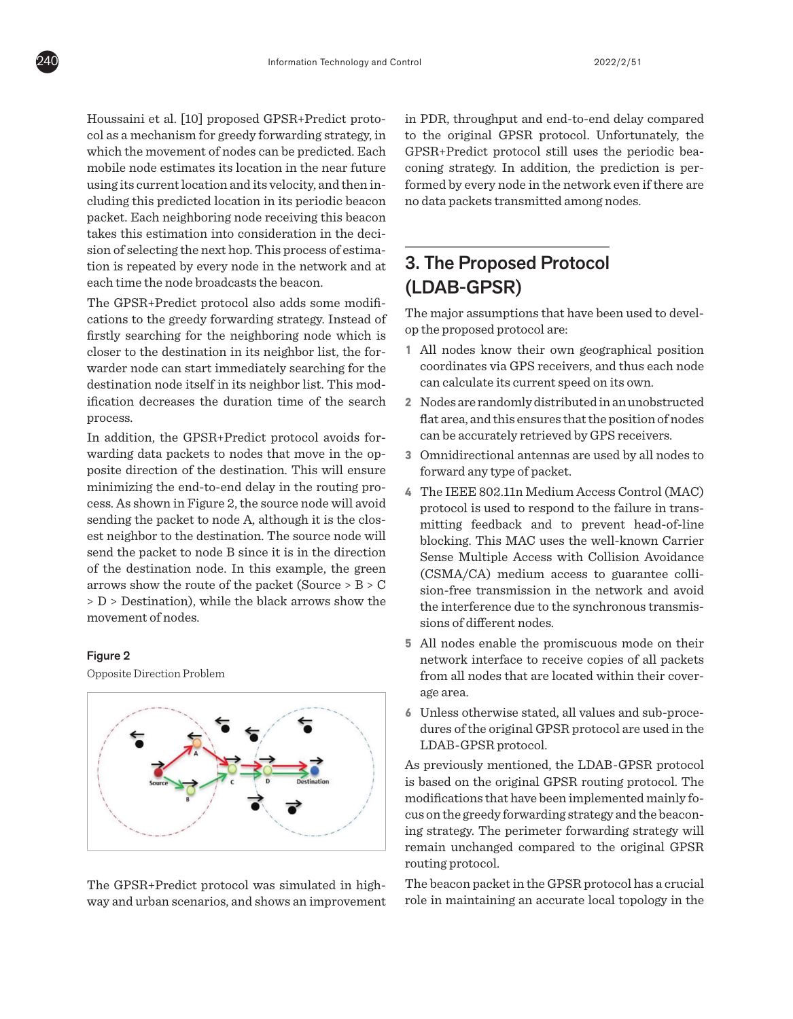Houssaini et al. [10] proposed GPSR+Predict protocol as a mechanism for greedy forwarding strategy, in which the movement of nodes can be predicted. Each mobile node estimates its location in the near future using its current location and its velocity, and then including this predicted location in its periodic beacon packet. Each neighboring node receiving this beacon takes this estimation into consideration in the decision of selecting the next hop. This process of estimation is repeated by every node in the network and at each time the node broadcasts the beacon.

The GPSR+Predict protocol also adds some modifications to the greedy forwarding strategy. Instead of firstly searching for the neighboring node which is closer to the destination in its neighbor list, the forwarder node can start immediately searching for the destination node itself in its neighbor list. This modification decreases the duration time of the search process.

In addition, the GPSR+Predict protocol avoids forwarding data packets to nodes that move in the opposite direction of the destination. This will ensure minimizing the end-to-end delay in the routing process. As shown in Figure 2, the source node will avoid sending the packet to node A, although it is the closest neighbor to the destination. The source node will send the packet to node B since it is in the direction of the destination node. In this example, the green arrows show the route of the packet (Source > B > C > D > Destination), while the black arrows show the movement of nodes.

## Figure 2

Opposite Direction Problem



The GPSR+Predict protocol was simulated in highway and urban scenarios, and shows an improvement in PDR, throughput and end-to-end delay compared to the original GPSR protocol. Unfortunately, the GPSR+Predict protocol still uses the periodic beaconing strategy. In addition, the prediction is performed by every node in the network even if there are no data packets transmitted among nodes.

# 3. The Proposed Protocol (LDAB-GPSR)

The major assumptions that have been used to develop the proposed protocol are:

- **1** All nodes know their own geographical position coordinates via GPS receivers, and thus each node can calculate its current speed on its own.
- **2** Nodes are randomly distributed in an unobstructed flat area, and this ensures that the position of nodes can be accurately retrieved by GPS receivers.
- **3** Omnidirectional antennas are used by all nodes to forward any type of packet.
- **4** The IEEE 802.11n Medium Access Control (MAC) protocol is used to respond to the failure in transmitting feedback and to prevent head-of-line blocking. This MAC uses the well-known Carrier Sense Multiple Access with Collision Avoidance (CSMA/CA) medium access to guarantee collision-free transmission in the network and avoid the interference due to the synchronous transmissions of different nodes.
- **5** All nodes enable the promiscuous mode on their network interface to receive copies of all packets from all nodes that are located within their coverage area.
- **6** Unless otherwise stated, all values and sub-procedures of the original GPSR protocol are used in the LDAB-GPSR protocol.

As previously mentioned, the LDAB-GPSR protocol is based on the original GPSR routing protocol. The modifications that have been implemented mainly focus on the greedy forwarding strategy and the beaconing strategy. The perimeter forwarding strategy will remain unchanged compared to the original GPSR routing protocol.

The beacon packet in the GPSR protocol has a crucial role in maintaining an accurate local topology in the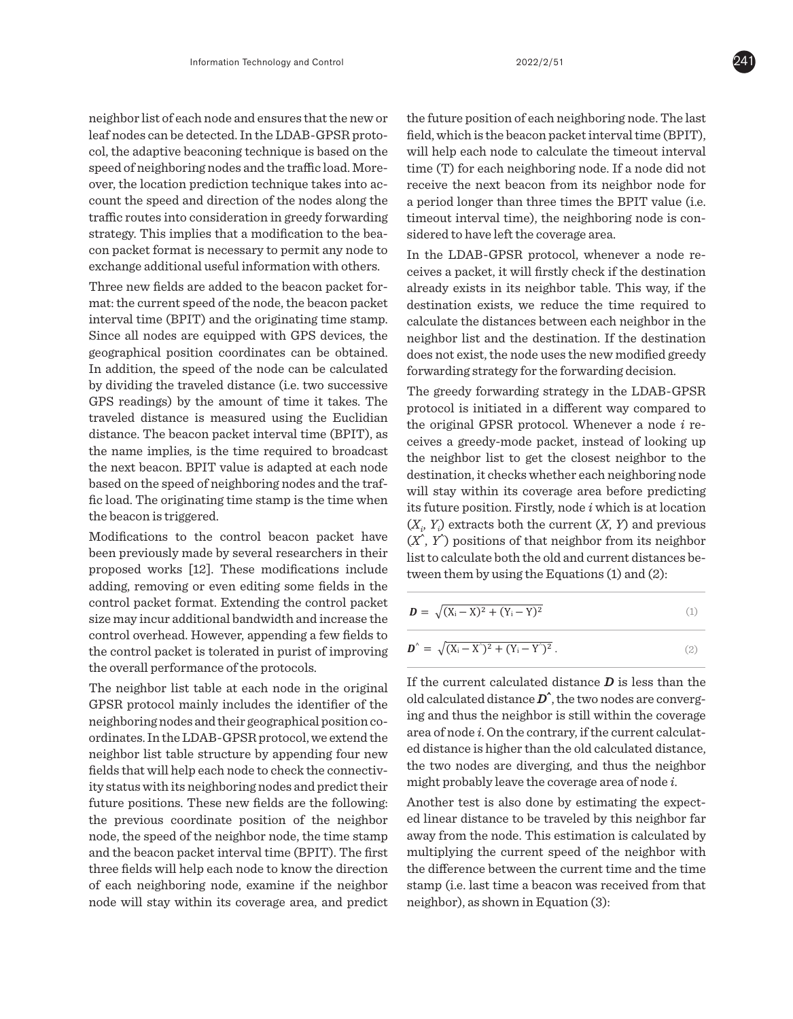neighbor list of each node and ensures that the new or leaf nodes can be detected. In the LDAB-GPSR proto- field, which is the be col, the adaptive beaconing technique is based on the speed of neighboring nodes and the traffic load. Moreover, the location prediction technique takes into account the speed and direction of the nodes along the traffic routes into consideration in greedy forwarding strategy. This implies that a modification to the beacon packet format is necessary to permit any node to exchange additional useful information with others.

Three new fields are added to the beacon packet format: the current speed of the node, the beacon packet interval time (BPIT) and the originating time stamp. Since all nodes are equipped with GPS devices, the geographical position coordinates can be obtained. In addition, the speed of the node can be calculated by dividing the traveled distance (i.e. two successive  $\frac{1}{2}$  The groody forwarding strategy in the LDAR-CDSR GPS readings) by the amount of time it takes. The traveled distance is measured using the Euclidian distance. The beacon packet interval time (BPIT), as  $\frac{d}{d}$  coverage of policy interval of looking up the name implies, is the time required to broadcast the next beacon. BPIT value is adapted at each node destination it obeds whether each neighboring node based on the speed of neighboring nodes and the traffic load. The originating time stamp is the time when the beacon is triggered.

Modifications to the control beacon packet have been previously made by several researchers in their proposed works [12]. These modifications include adding, removing or even editing some fields in the  $\hskip 10mm \underline{\hspace{1cm}}$ control packet format. Extending the control packet size may incur additional bandwidth and increase the control overhead. However, appending a few fields to the control packet is tolerated in purist of improving the overall performance of the protocols.

The neighbor list table at each node in the original GPSR protocol mainly includes the identifier of the neighboring nodes and their geographical position coordinates. In the LDAB-GPSR protocol, we extend the neighbor list table structure by appending four new equation is in the time in the ordination and the time states, fields that will help each node to check the connectivity status with its neighboring nodes and predict their future positions. These new fields are the following: the previous coordinate position of the neighbor node, the speed of the neighbor node, the time stamp and the beacon packet interval time (BPIT). The first three fields will help each node to know the direction of each neighboring node, examine if the neighbor node will stay within its coverage area, and predict

nd ensures that the new or — the future position of each neighboring node. The last field, which is the beacon packet interval time (BPIT), mique is based on the will help each node to calculate the timeout interval  $\mathbf{r}$ and the traffic load. More-  $\;\;$  time (T) for each neighboring node. If a node did not n technique takes into ac- receive the next beacon from its neighbor node for on of the nodes along the a period longer than three times the BPIT value (i.e.  $\frac{d}{dt}$  is the second part of  $\frac{d}{dt}$  interval time interval time in  $\frac{d}{dt}$  is the neighboring node is cona modification to the bea- sidered to have left the coverage area. in greedy for the format a model in procedure for the beach packet for the beach  $\frac{1}{2}$ beach is also added at the speed at the speed of neighboring node is con-

 $\omega$  permit any node to  $\omega$  In the LDAB-GPSR protocol, whenever a node reinformation with others.  $\qquad$  ceives a packet, it will firstly check if the destination to the beacon packet for-<br>already exists in its neighbor table. This way, if the destination exists, we reduce the time required to iginating time stamp. calculate the distances between each neighbor in the ed with GPS devices, the peighbor list and the destination. If the destination dinates can be obtained. does not exist, the node uses the new modified greedy ie node can be calculated forwarding strategy for the forwarding decision. a few fields to the control packet is to the control provided in provincial performance of the protocols. The protocols is the protocol performance of the protocols. neighboring nodes and the coordinates. In the Calculate the distances between each heighbor in the

relative the usual stategy in the LDAB-GPSR cance the intervalst of the function of the function of  $\Gamma$ unt of time it takes. The protocol is initiated in a different way compared to calculate the time time  $\frac{1}{2}$ ared using the Euclidian the original GPSR protocol. Whenever a node *i* received its next beacon for a permitted its new its next beacon for a permitted vector of a permitted vector of a permitted vector of a person of a ceives a greedy-mode packet, instead of looking up the neighbor list to get the closest neighbor to the  $\epsilon$  is adapted at each node destination, it checks whether each neighboring node  $\frac{1}{2}$  is the neighbor in the neighbor list and the neighbor in the neighbor list and the new  $\frac{1}{2}$  will stay within its coverage area before predicting its future position. Firstly, node *i* which is at location its forward its future position. Firstly, node *i* which is at location  $(X_i, Y_i)$  extracts both the current  $(X, Y)$  and previous for trol. be a cone packet have  $(X, Y)$  positions of that neighbor from its neighbor  $\frac{1}{2}$  is the calculate both the old and current distances be- $\frac{1}{\pi}$  functude tween them by using the Equations (1) and (2): before predicting its future position. Firstly, node *i* which is at location (*Xi, Yi*) extracts both the current *(X, Y)* and

$$
\bm{D}^{\wedge} = \sqrt{(X_i - X^{\wedge})^2 + (Y_i - Y^{\wedge})^2} \,. \tag{2}
$$

the protocols.<br>each node in the original If the current calculated distance  $\bm{D}$  is less than the  $\frac{1}{\omega}$  than the original calculated distance  $D^{\hat{}}$ , the two nodes are converg- $\frac{1}{\text{Area of a period}}$  area of node *i*. On the contrary, if the current calculator protocol, we extend the red distance is higher than the old calculated distance,<br>re by annending four new red distance is higher than the old calculated distance, might probably leave the coverage area of node *i*. ing and thus the neighbor is still within the coverage the two nodes are diverging, and thus the neighbor

lds are the following: Another test is also done by estimating the expect-If the aggregate of the estimated traversed distance and the current calculated distance is larger than the current calculated distance is larger than the current calculated distance is larger than the current calculated d hbor node, the time stamp away from the node. This estimation is calculated by rval time (BPIT). The first multiplying the current speed of the neighbor with mine if the neighbor stamp (i.e. last time a beacon was received from that overage area, and predict neighbor), as shown in Equation (3): neighbor is predicted. Firstly, node *i* extracts both the current and previous positions of the neighbor from its neighbor ed linear distance to be traveled by this neighbor far the difference between the current time and the time

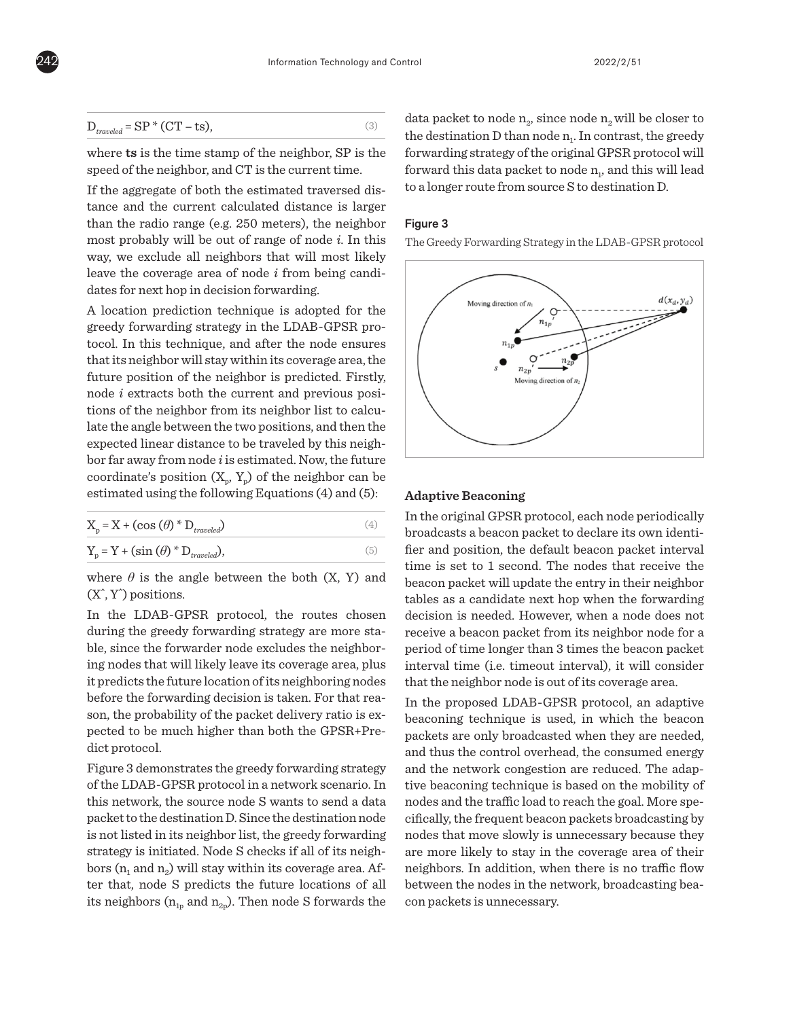

$$
D_{traveled} = SP * (CT - ts),
$$
\n(3)

where **ts** is the time stamp of the neighbor, SP is the speed of the neighbor, and CT is the current time.

If the aggregate of both the estimated traversed distance and the current calculated distance is larger than the radio range (e.g. 250 meters), the neighbor most probably will be out of range of node *i*. In this way, we exclude all neighbors that will most likely leave the coverage area of node *i* from being candidates for next hop in decision forwarding.

A location prediction technique is adopted for the greedy forwarding strategy in the LDAB-GPSR protocol. In this technique, and after the node ensures that its neighbor will stay within its coverage area, the future position of the neighbor is predicted. Firstly, node *i* extracts both the current and previous positions of the neighbor from its neighbor list to calculate the angle between the two positions, and then the expected linear distance to be traveled by this neighbor far away from node *i* is estimated. Now, the future coordinate's position  $(X_n, Y_n)$  of the neighbor can be estimated using the following Equations (4) and (5):

| $X_p = X + (\cos(\theta) * D_{traveled})$  |  |
|--------------------------------------------|--|
| $Y_p = Y + (\sin(\theta) * D_{traveled}),$ |  |

where  $\theta$  is the angle between the both  $(X, Y)$  and  $(X^{\wedge}, Y^{\wedge})$  positions.

In the LDAB-GPSR protocol, the routes chosen during the greedy forwarding strategy are more stable, since the forwarder node excludes the neighboring nodes that will likely leave its coverage area, plus it predicts the future location of its neighboring nodes before the forwarding decision is taken. For that reason, the probability of the packet delivery ratio is expected to be much higher than both the GPSR+Predict protocol.

Figure 3 demonstrates the greedy forwarding strategy of the LDAB-GPSR protocol in a network scenario. In this network, the source node S wants to send a data packet to the destination D. Since the destination node is not listed in its neighbor list, the greedy forwarding strategy is initiated. Node S checks if all of its neighbors  $(n_1$  and  $n_2)$  will stay within its coverage area. After that, node S predicts the future locations of all its neighbors ( $n_{1p}$  and  $n_{2p}$ ). Then node S forwards the

data packet to node  $n<sub>2</sub>$ , since node  $n<sub>2</sub>$  will be closer to the destination  $D$  than node  $n<sub>1</sub>$ . In contrast, the greedy forwarding strategy of the original GPSR protocol will forward this data packet to node  $n_1$ , and this will lead to a longer route from source S to destination D.

#### Figure 3

The Greedy Forwarding Strategy in the LDAB-GPSR protocol



## **Adaptive Beaconing**

In the original GPSR protocol, each node periodically broadcasts a beacon packet to declare its own identifier and position, the default beacon packet interval time is set to 1 second. The nodes that receive the beacon packet will update the entry in their neighbor tables as a candidate next hop when the forwarding decision is needed. However, when a node does not receive a beacon packet from its neighbor node for a period of time longer than 3 times the beacon packet interval time (i.e. timeout interval), it will consider that the neighbor node is out of its coverage area.

In the proposed LDAB-GPSR protocol, an adaptive beaconing technique is used, in which the beacon packets are only broadcasted when they are needed, and thus the control overhead, the consumed energy and the network congestion are reduced. The adaptive beaconing technique is based on the mobility of nodes and the traffic load to reach the goal. More specifically, the frequent beacon packets broadcasting by nodes that move slowly is unnecessary because they are more likely to stay in the coverage area of their neighbors. In addition, when there is no traffic flow between the nodes in the network, broadcasting beacon packets is unnecessary.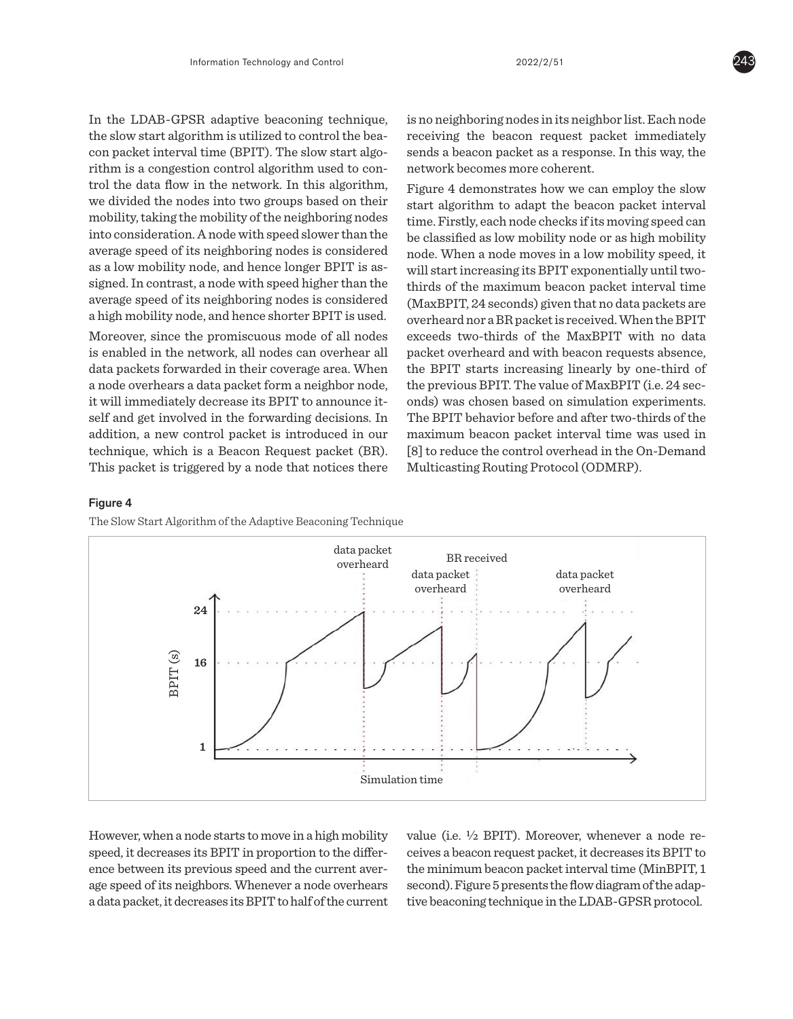In the LDAB-GPSR adaptive beaconing technique, the slow start algorithm is utilized to control the beacon packet interval time (BPIT). The slow start algorithm is a congestion control algorithm used to control the data flow in the network. In this algorithm, we divided the nodes into two groups based on their mobility, taking the mobility of the neighboring nodes into consideration. A node with speed slower than the average speed of its neighboring nodes is considered as a low mobility node, and hence longer BPIT is assigned. In contrast, a node with speed higher than the average speed of its neighboring nodes is considered a high mobility node, and hence shorter BPIT is used.

Moreover, since the promiscuous mode of all nodes is enabled in the network, all nodes can overhear all data packets forwarded in their coverage area. When a node overhears a data packet form a neighbor node, it will immediately decrease its BPIT to announce itself and get involved in the forwarding decisions. In addition, a new control packet is introduced in our technique, which is a Beacon Request packet (BR). This packet is triggered by a node that notices there is no neighboring nodes in its neighbor list. Each node receiving the beacon request packet immediately sends a beacon packet as a response. In this way, the network becomes more coherent.

Figure 4 demonstrates how we can employ the slow start algorithm to adapt the beacon packet interval time. Firstly, each node checks if its moving speed can be classified as low mobility node or as high mobility node. When a node moves in a low mobility speed, it will start increasing its BPIT exponentially until twothirds of the maximum beacon packet interval time (MaxBPIT, 24 seconds) given that no data packets are overheard nor a BR packet is received. When the BPIT exceeds two-thirds of the MaxBPIT with no data packet overheard and with beacon requests absence, the BPIT starts increasing linearly by one-third of the previous BPIT. The value of MaxBPIT (i.e. 24 seconds) was chosen based on simulation experiments. The BPIT behavior before and after two-thirds of the maximum beacon packet interval time was used in [8] to reduce the control overhead in the On-Demand Multicasting Routing Protocol (ODMRP).

#### Figure 4

The Slow Start Algorithm of the Adaptive Beaconing Technique



However, when a node starts to move in a high mobility speed, it decreases its BPIT in proportion to the difference between its previous speed and the current average speed of its neighbors. Whenever a node overhears a data packet, it decreases its BPIT to half of the current value (i.e.  $\frac{1}{2}$  BPIT). Moreover, whenever a node receives a beacon request packet, it decreases its BPIT to the minimum beacon packet interval time (MinBPIT, 1 second). Figure 5 presents the flow diagram of the adaptive beaconing technique in the LDAB-GPSR protocol.

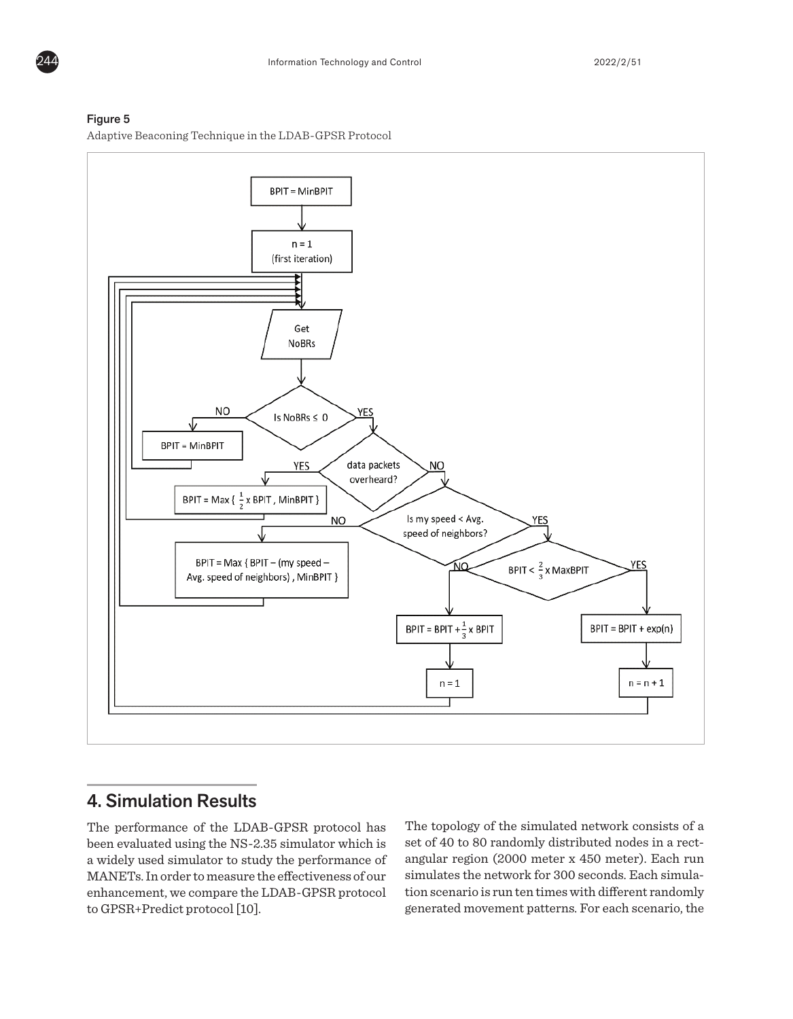



N<sub>O</sub>

BPIT = Max { BPIT - (my speed -

Avg. speed of neighbors), MinBPIT }

Is my speed < Avg.

speed of neighbors?

'NΩ

BPIT = BPIT +  $\frac{1}{3}$  x BPIT

 $n = 1$ 

#### Figure 5

Adaptive Beaconing Technique in the LDAB-GPSR Protocol

# 4. Simulation Results

The performance of the LDAB-GPSR protocol has been evaluated using the NS-2.35 simulator which is a widely used simulator to study the performance of MANETs. In order to measure the effectiveness of our enhancement, we compare the LDAB-GPSR protocol to GPSR+Predict protocol [10].

The topology of the simulated network consists of a set of 40 to 80 randomly distributed nodes in a rectangular region (2000 meter x 450 meter). Each run simulates the network for 300 seconds. Each simulation scenario is run ten times with different randomly generated movement patterns. For each scenario, the

YES

BPIT <  $\frac{2}{3}$  x MaxBPIT

**YES** 

 $BPIT = BPIT + exp(n)$ 

 $n = n + 1$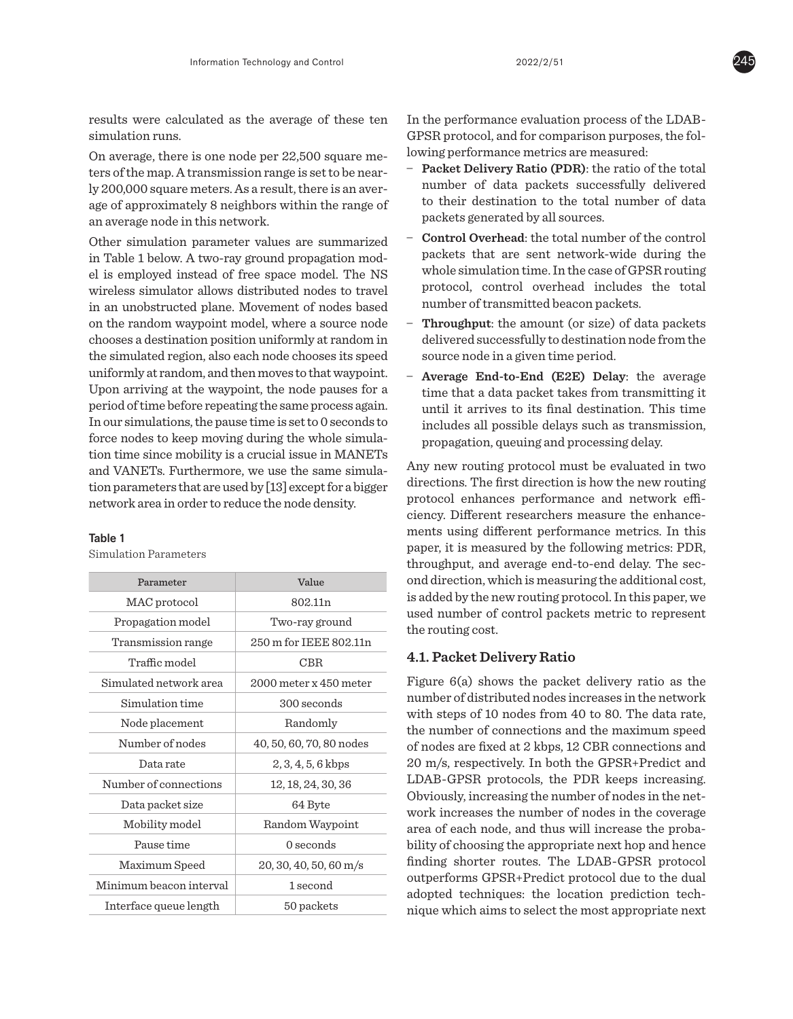results were calculated as the average of these ten simulation runs.

On average, there is one node per 22,500 square meters of the map. A transmission range is set to be nearly 200,000 square meters. As a result, there is an average of approximately 8 neighbors within the range of an average node in this network.

Other simulation parameter values are summarized in Table 1 below. A two-ray ground propagation model is employed instead of free space model. The NS wireless simulator allows distributed nodes to travel in an unobstructed plane. Movement of nodes based on the random waypoint model, where a source node chooses a destination position uniformly at random in the simulated region, also each node chooses its speed uniformly at random, and then moves to that waypoint. Upon arriving at the waypoint, the node pauses for a period of time before repeating the same process again. In our simulations, the pause time is set to 0 seconds to force nodes to keep moving during the whole simulation time since mobility is a crucial issue in MANETs and VANETs. Furthermore, we use the same simulation parameters that are used by [13] except for a bigger network area in order to reduce the node density.

#### Table 1

Simulation Parameters

| Parameter               | Value                    |
|-------------------------|--------------------------|
| MAC protocol            | 802.11 <sub>n</sub>      |
| Propagation model       | Two-ray ground           |
| Transmission range      | 250 m for IEEE 802.11n   |
| Traffic model           | CBR                      |
| Simulated network area  | 2000 meter x 450 meter   |
| Simulation time         | 300 seconds              |
| Node placement          | Randomly                 |
| Number of nodes         | 40, 50, 60, 70, 80 nodes |
| Data rate               | $2, 3, 4, 5, 6$ kbps     |
| Number of connections   | 12, 18, 24, 30, 36       |
| Data packet size        | 64 Byte                  |
| Mobility model          | Random Waypoint          |
| Pause time              | $0$ seconds              |
| Maximum Speed           | 20, 30, 40, 50, 60 m/s   |
| Minimum beacon interval | 1 second                 |
| Interface queue length  | 50 packets               |

In the performance evaluation process of the LDAB-GPSR protocol, and for comparison purposes, the following performance metrics are measured:

- **\_ Packet Delivery Ratio (PDR)**: the ratio of the total number of data packets successfully delivered to their destination to the total number of data packets generated by all sources.
- **\_ Control Overhead**: the total number of the control packets that are sent network-wide during the whole simulation time. In the case of GPSR routing protocol, control overhead includes the total number of transmitted beacon packets.
- **\_ Throughput**: the amount (or size) of data packets delivered successfully to destination node from the source node in a given time period.
- **\_ Average End-to-End (E2E) Delay**: the average time that a data packet takes from transmitting it until it arrives to its final destination. This time includes all possible delays such as transmission, propagation, queuing and processing delay.

Any new routing protocol must be evaluated in two directions. The first direction is how the new routing protocol enhances performance and network efficiency. Different researchers measure the enhancements using different performance metrics. In this paper, it is measured by the following metrics: PDR, throughput, and average end-to-end delay. The second direction, which is measuring the additional cost, is added by the new routing protocol. In this paper, we used number of control packets metric to represent the routing cost.

## **4.1. Packet Delivery Ratio**

Figure 6(a) shows the packet delivery ratio as the number of distributed nodes increases in the network with steps of 10 nodes from 40 to 80. The data rate, the number of connections and the maximum speed of nodes are fixed at 2 kbps, 12 CBR connections and 20 m/s, respectively. In both the GPSR+Predict and LDAB-GPSR protocols, the PDR keeps increasing. Obviously, increasing the number of nodes in the network increases the number of nodes in the coverage area of each node, and thus will increase the probability of choosing the appropriate next hop and hence finding shorter routes. The LDAB-GPSR protocol outperforms GPSR+Predict protocol due to the dual adopted techniques: the location prediction technique which aims to select the most appropriate next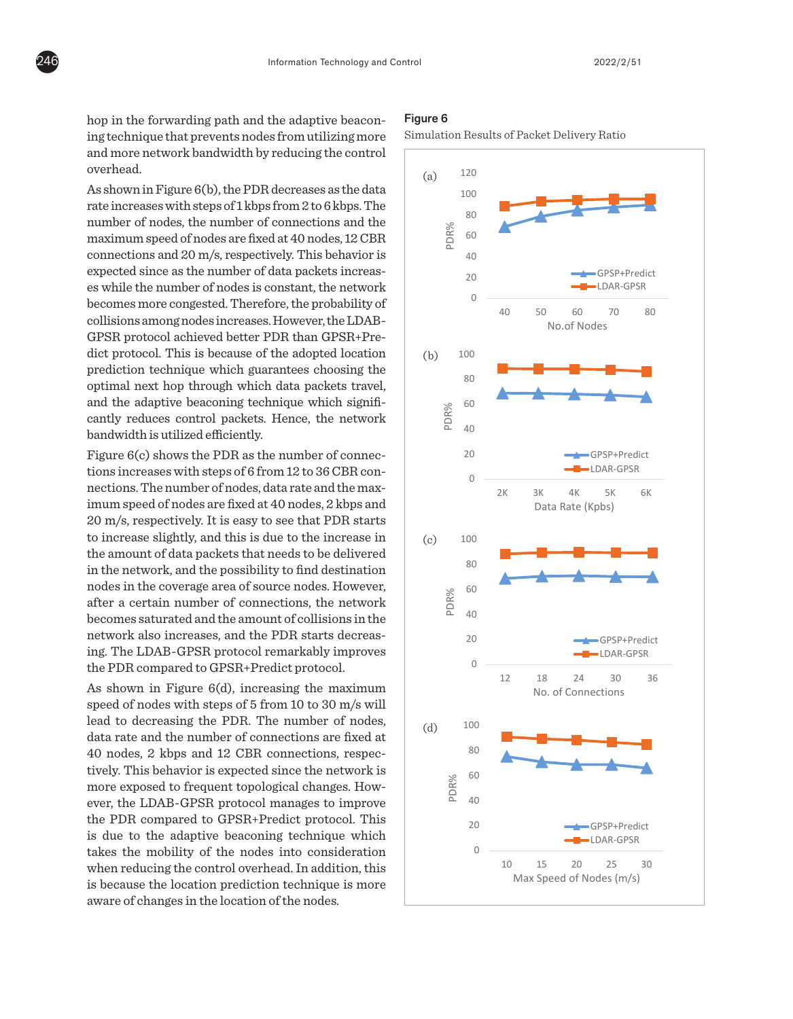hop in the forwarding path and the adaptive beaconing technique that prevents nodes from utilizing more and more network bandwidth by reducing the control overhead.

As shown in Figure 6(b), the PDR decreases as the data rate increases with steps of 1 kbps from 2 to 6 kbps. The number of nodes, the number of connections and the maximum speed of nodes are fixed at 40 nodes, 12 CBR connections and 20 m/s, respectively. This behavior is expected since as the number of data packets increases while the number of nodes is constant, the network becomes more congested. Therefore, the probability of collisions among nodes increases. However, the LDAB-GPSR protocol achieved better PDR than GPSR+Predict protocol. This is because of the adopted location prediction technique which guarantees choosing the optimal next hop through which data packets travel, and the adaptive beaconing technique which signifiand the adaptive beaconing technique which significantly reduces control packets. Hence, the network bandwidth is utilized efficiently. 40

Figure 6(c) shows the PDR as the number of connections increases with steps of 6 from 12 to 36 CBR connections. The number of nodes, data rate and the maximum speed of nodes are fixed at 40 nodes, 2 kbps and 20 m/s, respectively. It is easy to see that PDR starts 120 to increase slightly, and this is due to the increase in  $(c)$  (c) 100 the amount of data packets that needs to be delivered in the network, and the possibility to find destination m are network, and the possibility to find destination nodes in the coverage area of source nodes. However, after a certain number of connections, the network arter a certain number or connections, the network<br>becomes saturated and the amount of collisions in the network also increases, and the PDR starts decreas- $\left| \begin{array}{l} \text{ing.} \text{ The LDAB-GPSR protocol remarkably improves} \end{array} \right|$ the PDR compared to GPSR+Predict protocol.  $25,$  data rate and the maxge are<br>phor  $\epsilon$ <sup>-</sup>

As shown in Figure  $6(d)$ , increasing the maximum speed of nodes with steps of 5 from 10 to 30 m/s will  $\hskip 10.5 cm$ lead to decreasing the PDR. The number of nodes,  $(d)$  100 data rate and the number of connections are fixed at 40 nodes, 2 kbps and 12 CBR connections, respec<sup>80</sup> is due to the adaptive beaconing technique which aware of changes in the location of the nodes.  $m_{\tilde{t}}$  as the network as the number of connections increases in order to keep the topology accurate as the topology accurate as the topology accurate as the topology accurate as the topology accurate as the topology a

#### Figure 6

Simulation Results of Packet Delivery Ratio

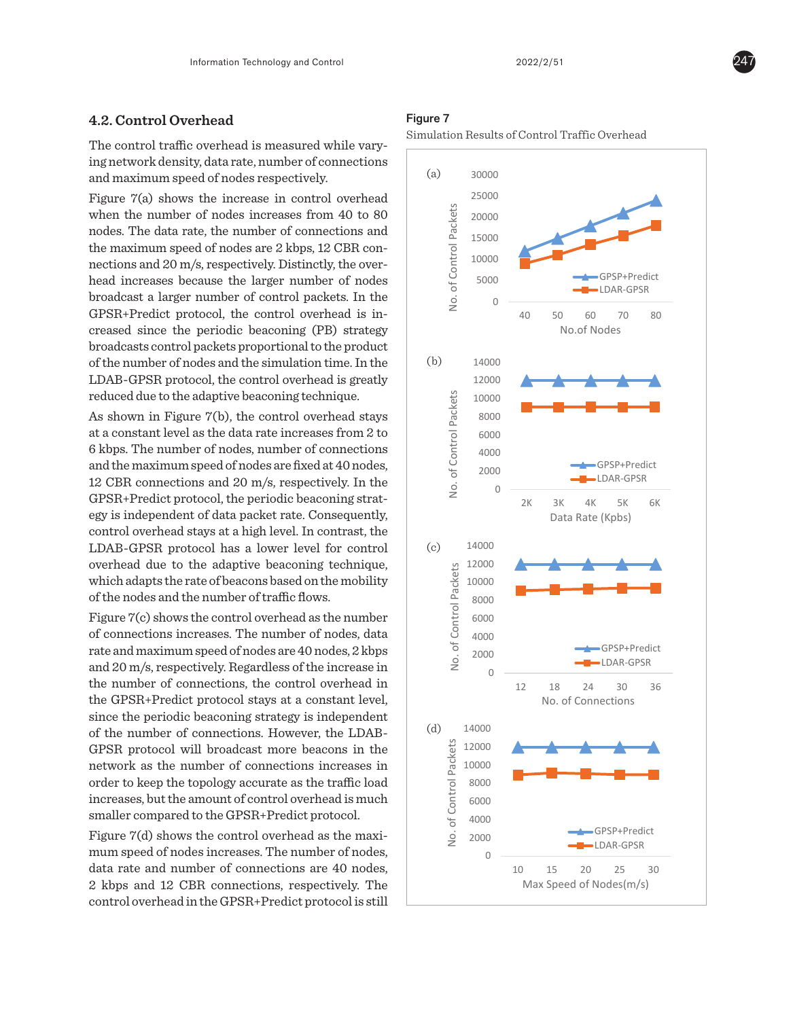## **4.2. Control Overhead**

The control traffic overhead is measured while varying network density, data rate, number of connections and maximum speed of nodes respectively.

Figure 7(a) shows the increase in control overhead when the number of nodes increases from 40 to 80 nodes. The data rate, the number of connections and the maximum speed of nodes are 2 kbps, 12 CBR connections and 20 m/s, respectively. Distinctly, the overhead increases because the larger number of nodes broadcast a larger number of control packets. In the GPSR+Predict protocol, the control overhead is increased since the periodic beaconing (PB) strategy broadcasts control packets proportional to the product of the number of nodes and the simulation time. In the LDAB-GPSR protocol, the control overhead is greatly reduced due to the adaptive beaconing technique.

As shown in Figure 7(b), the control overhead stays 20000 at a constant level as the data rate increases from  $2$  to 6 kbps. The number of nodes, number of connections and the maximum speed of nodes are fixed at 40 nodes,  $\qquad \qquad \mid$ 12 CBR connections and 20 m/s, respectively. In the GPSR+Predict protocol, the periodic beaconing strat-0 egy is independent of data packet rate. Consequently, control overhead stays at a high level. In contrast, the  $LDAB-GPSR$  protocol has a lower level for control  $\qquad \qquad (c) \qquad 14000$ overhead due to the adaptive beaconing technique, which adapts the rate of beacons based on the mobility of the nodes and the number of traffic flows.  $\frac{1}{2}$   $\frac{1}{2}$   $\frac{1}{2}$   $\frac{1}{2}$   $\frac{1}{2}$   $\frac{1}{2}$   $\frac{1}{2}$   $\frac{1}{2}$   $\frac{1}{2}$   $\frac{1}{2}$   $\frac{1}{2}$   $\frac{1}{2}$   $\frac{1}{2}$   $\frac{1}{2}$   $\frac{1}{2}$   $\frac{1}{2}$   $\frac{1}{2}$   $\frac{1}{2}$   $\frac{1}{2}$   $\frac{1}{2}$   $\frac{1}{2}$   $\frac{1}{2}$  d<br>s<br>r<br>s<br>co

Figure 7(c) shows the control overhead as the number of connections increases. The number of nodes, data  $\,$ rate and maximum speed of nodes are  $40$  nodes,  $2\,\mathrm{kbps}$ and 20 m/s, respectively. Regardless of the increase in the number of connections, the control overhead in the GPSR+Predict protocol stays at a constant level, 0 since the periodic beaconing strategy is independent of the number of connections. However, the LDAB-GPSR protocol will broadcast more beacons in the  $\frac{20}{9}$  12000 network as the number of connections increases in **Figure 10000** order to keep the topology accurate as the traffic load increases, but the amount of control overhead is much  $S_{\text{m}}$  smaller compared to the GPSR+Predict protocol. t protocol stays at a constant level, e<br>ne.<br>piv<br>ne ne<br>te<br>he<br>re<br>sp  $\frac{1}{2}$ lmpn<br>no.<br>ch

mum speed of nodes increases. The number of nodes,  $\vert$ data rate and number of connections are 40 nodes,  $\begin{array}{|l|}\n\hline\n\end{array}$  10  $\begin{array}{|l|}\n\hline\n\end{array}$  15  $\begin{array}{|l|}\n\hline\n\end{array}$  $2 \text{ kbps and } 12 \text{ CBR connections, respectively.}$  The  $\blacksquare$  Max Speed of Nodes(m/s) control overhead in the GPSR+Predict protocol is still  $\Box$ sent increases while the packet delivery ratio remains reasonably high, which increases the overall throughput from

## Figure 7

Simulation Results of Control Traffic Overhead



source to destination. A similar thing can be said when increasing the number of connections, while maintain other

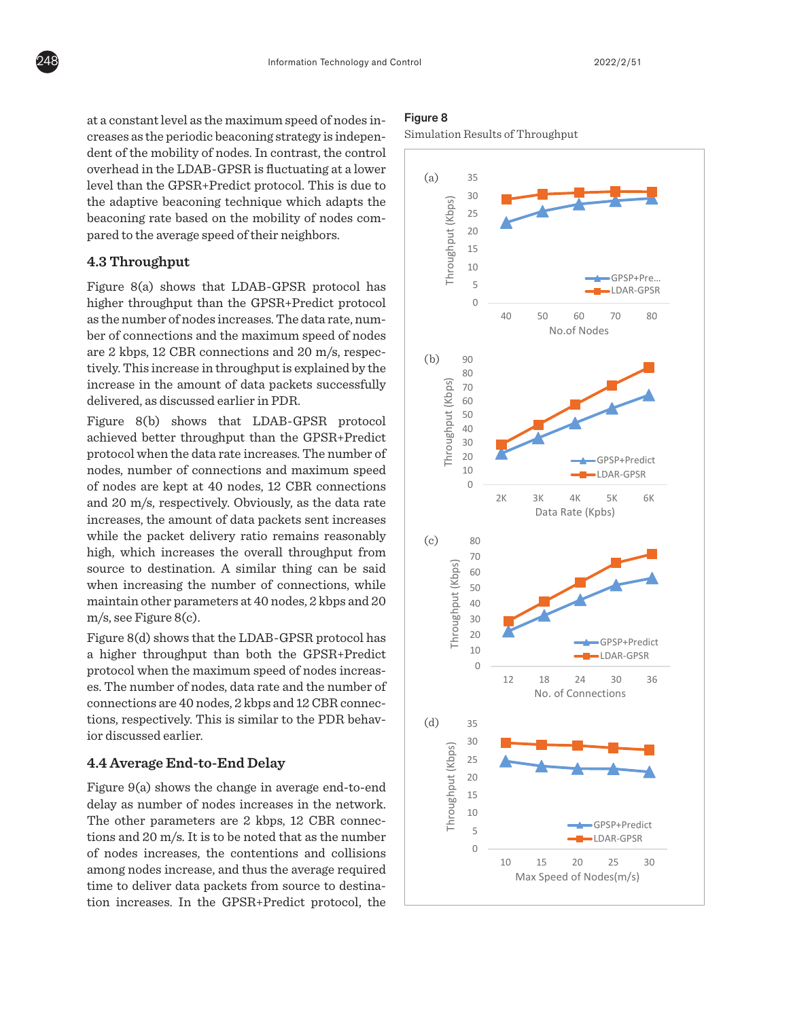at a constant level as the maximum speed of nodes increases as the periodic beaconing strategy is independent of the mobility of nodes. In contrast, the control overhead in the LDAB-GPSR is fluctuating at a lower level than the GPSR+Predict protocol. This is due to the adaptive beaconing technique which adapts the beaconing rate based on the mobility of nodes compared to the average speed of their neighbors.

## **4.3 Throughput**

Figure 8(a) shows that LDAB-GPSR protocol has higher throughput than the GPSR+Predict protocol as the number of nodes increases. The data rate, number of connections and the maximum speed of nodes are 2 kbps, 12 CBR connections and 20 m/s, respectively. This increase in throughput is explained by the  $\frac{1}{2}$  increase in the amount of data packets successfully delivered, as discussed earlier in PDR.

Figure 8(b) shows that LDAB-GPSR protocol achieved better throughput than the GPSR+Predict protocol when the data rate increases. The number of 10 nodes, number of connections and maximum speed of nodes are kept at 40 nodes, 12 CBR connections 0 and 20 m/s, respectively. Obviously, as the data rate  $\frac{1}{2}$  increases, the amount of data packets sent increases more the packet delivery ratio remains reasonably  $\begin{pmatrix} 0 & 80 \end{pmatrix}$ high, which increases the overall throughput from source to destination. A similar thing can be said when increasing the number of connections, while maintain other parameters at 40 nodes, 2 kbps and 20 50 15 m/s, see Figure 8(c). ou<br>se<br>vs<br>ou<br>lat  $\mathbb{R}^n$ e :<br>mo<br>tat  $\lambda$ .<br>. . se<br>01<br>1e<br>.

Figure 8(d) shows that the LDAB-GPSR protocol has  $\qquad$ a higher throughput than both the GPSR+Predict  $\left| \right|$  $\frac{1}{2}$  protocol when the maximum speed of nodes increases. The number of nodes, data rate and the number of  $\frac{1}{2}$  connections are 40 nodes, 2 kbps and 12 CBR connections, respectively. This is similar to the PDR behavior discussed earlier.  $\mathbb{R}^n$  $\Box$ ) nodes,  $2 \text{ kbps}$  and  $12 \text{ CBR}$  connections of  $\Box$ 

#### **4.4 Average End-to-End Delay** 50  $\overline{a}$

Figure 9(a) shows the change in average end-to-end tion increases. In the GPSR+Predict protocol, the  $\Box$ the change in average end-to-en the number of data packets increases in the network, the overall time required to deliver such data packets increases. T**O**<br>ne<br>no  $\alpha$  average require

#### Figure 8

Simulation Results of Throughput



In all protocols, the average end-to-end delay decreases slightly until the network becomes congested by the presence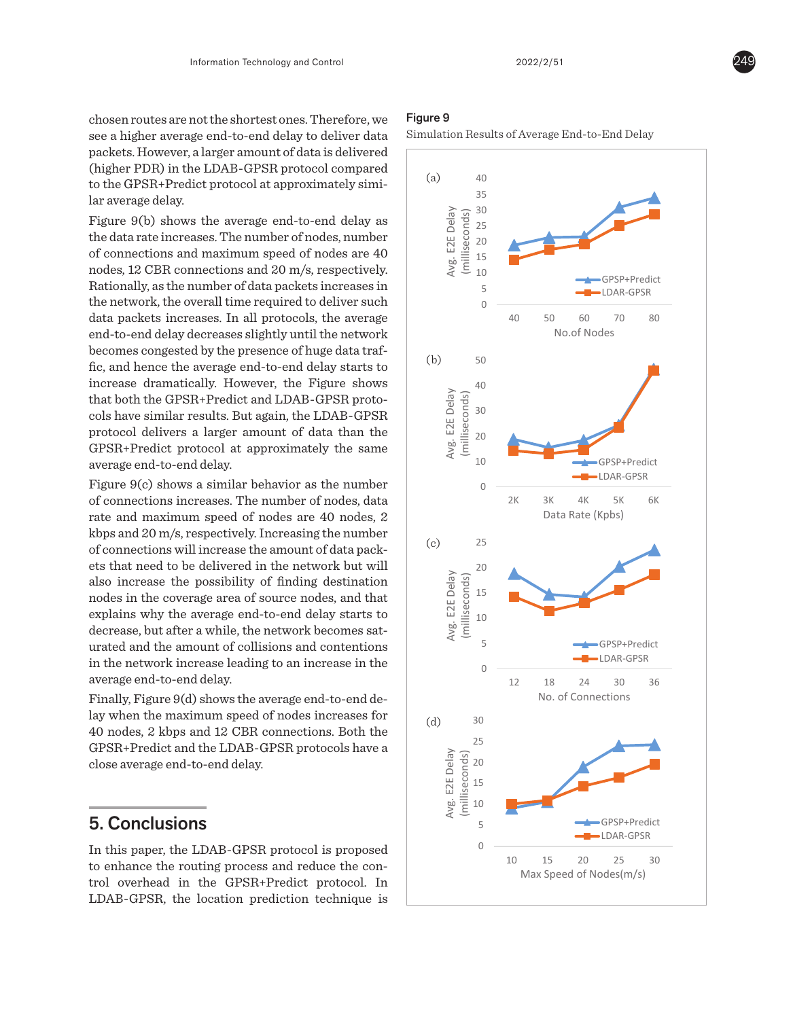chosen routes are not the shortest ones. Therefore, we see a higher average end-to-end delay to deliver data packets. However, a larger amount of data is delivered (higher PDR) in the LDAB-GPSR protocol compared to the GPSR+Predict protocol at approximately similar average delay.

Figure 9(b) shows the average end-to-end delay as the data rate increases. The number of nodes, number of connections and maximum speed of nodes are 40 nodes, 12 CBR connections and 20 m/s, respectively. Rationally, as the number of data packets increases in the network, the overall time required to deliver such data packets increases. In all protocols, the average end-to-end delay decreases slightly until the network becomes congested by the presence of huge data traffic, and hence the average end-to-end delay starts to increase dramatically. However, the Figure shows that both the GPSR+Predict and LDAB-GPSR proto-30 cols have similar results. But again, the LDAB-GPSR 25 protocol delivers a larger amount of data than the GPSR+Predict protocol at approximately the same average end-to-end delay.  $\overline{a}$  $\begin{bmatrix} +1 \\ +1 \\ -1 \\ -1 \end{bmatrix}$ re<br>lts<br>:0 GPSP+Predict LDAR-GPSR

Figure 9(c) shows a similar behavior as the number of connections increases. The number of nodes, data rate and maximum speed of nodes are 40 nodes, 2 kbps and 20 m/s, respectively. Increasing the number  $\Big|_{(c)}$ of connections will increase the amount of data packets that need to be delivered in the network but will also increase the possibility of finding destination nodes in the coverage area of source nodes, and that explains why the average end-to-end delay starts to decrease, but after a while, the network becomes saturated and the amount of collisions and contentions 0 in the network increase leading to an increase in the average end-to-end delay. r<br>uge<br>a v<br>pu: a<br>a:a<br>ut<br>ut in<br>de<br>ge<br>ge re<br>liv<br>ai<br>ai  $es$  sat-

Finally, Figure 9(d) shows the average end-to-end de- $\qquad$ lay when the maximum speed of nodes increases for 40 nodes, 2 kbps and 12 CBR connections. Both the  $\frac{1}{25}$ GPSR+Predict and the LDAB-GPSR protocols have a  $\frac{1}{\delta}$ close average end-to-end delay. 15 th<br>)-(<br>—  $\lim_{x\to 0}$ 

## 5. Conclusions

 $LDAB-GPSR$ , the location prediction technique is  $\Box$ no. of Connections of Connections of Connections of Connections of Connections of Connections of Connections o<br>The Connections of Connections of Connections of Connections of Connections of Connections of Connections of C

## Figure 9

Simulation Results of Average End-to-End Delay



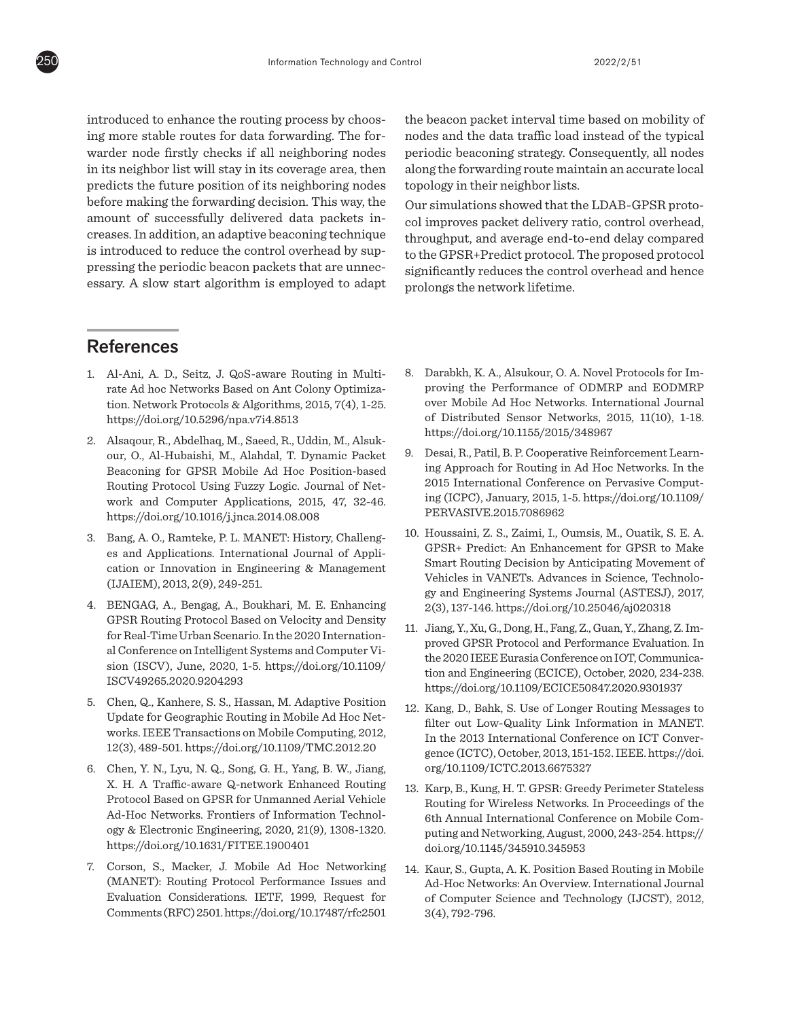introduced to enhance the routing process by choosing more stable routes for data forwarding. The forwarder node firstly checks if all neighboring nodes in its neighbor list will stay in its coverage area, then predicts the future position of its neighboring nodes before making the forwarding decision. This way, the amount of successfully delivered data packets increases. In addition, an adaptive beaconing technique is introduced to reduce the control overhead by suppressing the periodic beacon packets that are unnecessary. A slow start algorithm is employed to adapt

## **References**

- 1. Al-Ani, A. D., Seitz, J. QoS-aware Routing in Multirate Ad hoc Networks Based on Ant Colony Optimization. Network Protocols & Algorithms, 2015, 7(4), 1-25. https://doi.org/10.5296/npa.v7i4.8513
- 2. Alsaqour, R., Abdelhaq, M., Saeed, R., Uddin, M., Alsukour, O., Al-Hubaishi, M., Alahdal, T. Dynamic Packet Beaconing for GPSR Mobile Ad Hoc Position-based Routing Protocol Using Fuzzy Logic. Journal of Network and Computer Applications, 2015, 47, 32-46. https://doi.org/10.1016/j.jnca.2014.08.008
- 3. Bang, A. O., Ramteke, P. L. MANET: History, Challenges and Applications. International Journal of Application or Innovation in Engineering & Management (IJAIEM), 2013, 2(9), 249-251.
- 4. BENGAG, A., Bengag, A., Boukhari, M. E. Enhancing GPSR Routing Protocol Based on Velocity and Density for Real-Time Urban Scenario. In the 2020 International Conference on Intelligent Systems and Computer Vision (ISCV), June, 2020, 1-5. https://doi.org/10.1109/ ISCV49265.2020.9204293
- 5. Chen, Q., Kanhere, S. S., Hassan, M. Adaptive Position Update for Geographic Routing in Mobile Ad Hoc Networks. IEEE Transactions on Mobile Computing, 2012, 12(3), 489-501. https://doi.org/10.1109/TMC.2012.20
- 6. Chen, Y. N., Lyu, N. Q., Song, G. H., Yang, B. W., Jiang, X. H. A Traffic-aware Q-network Enhanced Routing Protocol Based on GPSR for Unmanned Aerial Vehicle Ad-Hoc Networks. Frontiers of Information Technology & Electronic Engineering, 2020, 21(9), 1308-1320. https://doi.org/10.1631/FITEE.1900401
- 7. Corson, S., Macker, J. Mobile Ad Hoc Networking (MANET): Routing Protocol Performance Issues and Evaluation Considerations. IETF, 1999, Request for Comments (RFC) 2501. https://doi.org/10.17487/rfc2501

the beacon packet interval time based on mobility of nodes and the data traffic load instead of the typical periodic beaconing strategy. Consequently, all nodes along the forwarding route maintain an accurate local topology in their neighbor lists.

Our simulations showed that the LDAB-GPSR protocol improves packet delivery ratio, control overhead, throughput, and average end-to-end delay compared to the GPSR+Predict protocol. The proposed protocol significantly reduces the control overhead and hence prolongs the network lifetime.

- 8. Darabkh, K. A., Alsukour, O. A. Novel Protocols for Improving the Performance of ODMRP and EODMRP over Mobile Ad Hoc Networks. International Journal of Distributed Sensor Networks, 2015, 11(10), 1-18. https://doi.org/10.1155/2015/348967
- 9. Desai, R., Patil, B. P. Cooperative Reinforcement Learning Approach for Routing in Ad Hoc Networks. In the 2015 International Conference on Pervasive Computing (ICPC), January, 2015, 1-5. https://doi.org/10.1109/ PERVASIVE.2015.7086962
- 10. Houssaini, Z. S., Zaimi, I., Oumsis, M., Ouatik, S. E. A. GPSR+ Predict: An Enhancement for GPSR to Make Smart Routing Decision by Anticipating Movement of Vehicles in VANETs. Advances in Science, Technology and Engineering Systems Journal (ASTESJ), 2017, 2(3), 137-146. https://doi.org/10.25046/aj020318
- 11. Jiang, Y., Xu, G., Dong, H., Fang, Z., Guan, Y., Zhang, Z. Improved GPSR Protocol and Performance Evaluation. In the 2020 IEEE Eurasia Conference on IOT, Communication and Engineering (ECICE), October, 2020, 234-238. https://doi.org/10.1109/ECICE50847.2020.9301937
- 12. Kang, D., Bahk, S. Use of Longer Routing Messages to filter out Low-Quality Link Information in MANET. In the 2013 International Conference on ICT Convergence (ICTC), October, 2013, 151-152. IEEE. https://doi. org/10.1109/ICTC.2013.6675327
- 13. Karp, B., Kung, H. T. GPSR: Greedy Perimeter Stateless Routing for Wireless Networks. In Proceedings of the 6th Annual International Conference on Mobile Computing and Networking, August, 2000, 243-254. https:// doi.org/10.1145/345910.345953
- 14. Kaur, S., Gupta, A. K. Position Based Routing in Mobile Ad-Hoc Networks: An Overview. International Journal of Computer Science and Technology (IJCST), 2012, 3(4), 792-796.